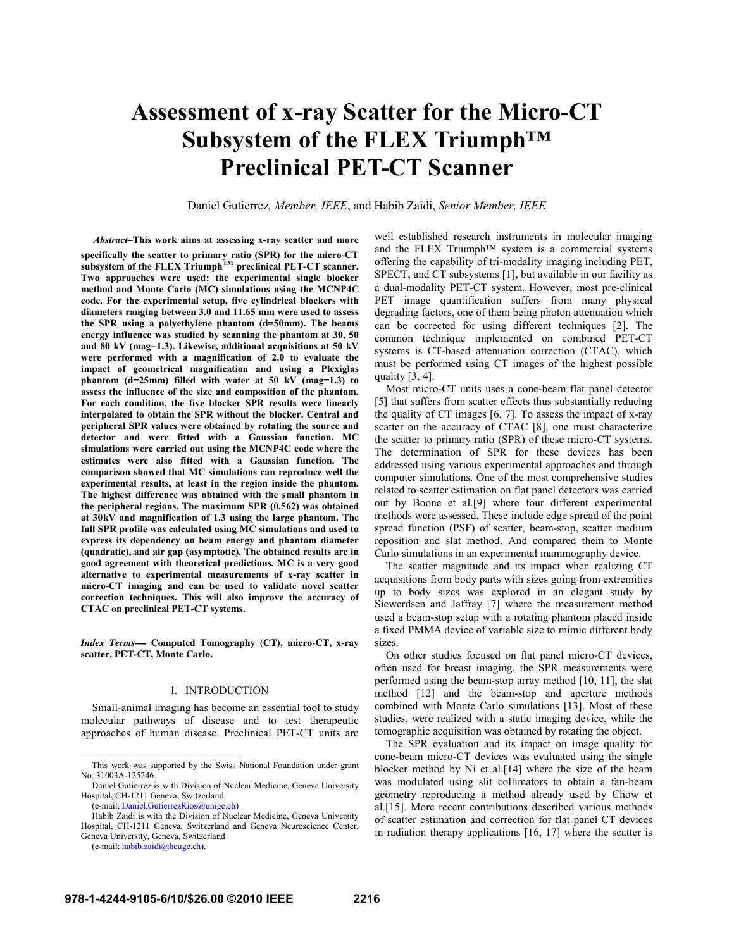# **Assessment of x-ray Scatter for the Micro-CT Subsystem of the FLEX Triumph™ Preclinical PET-CT Scanner**

Daniel Gutierrez*, Member, IEEE*, and Habib Zaidi, *Senior Member, IEEE*

*Abstract–***This work aims at assessing x-ray scatter and more specifically the scatter to primary ratio (SPR) for the micro-CT subsystem of the FLEX TriumphTM preclinical PET-CT scanner. Two approaches were used: the experimental single blocker method and Monte Carlo (MC) simulations using the MCNP4C code. For the experimental setup, five cylindrical blockers with diameters ranging between 3.0 and 11.65 mm were used to assess the SPR using a polyethylene phantom (d=50mm). The beams energy influence was studied by scanning the phantom at 30, 50 and 80 kV (mag=1.3). Likewise, additional acquisitions at 50 kV were performed with a magnification of 2.0 to evaluate the impact of geometrical magnification and using a Plexiglas phantom (d=25mm) filled with water at 50 kV (mag=1.3) to assess the influence of the size and composition of the phantom. For each condition, the five blocker SPR results were linearly interpolated to obtain the SPR without the blocker. Central and peripheral SPR values were obtained by rotating the source and detector and were fitted with a Gaussian function. MC simulations were carried out using the MCNP4C code where the estimates were also fitted with a Gaussian function. The comparison showed that MC simulations can reproduce well the experimental results, at least in the region inside the phantom. The highest difference was obtained with the small phantom in the peripheral regions. The maximum SPR (0.562) was obtained at 30kV and magnification of 1.3 using the large phantom. The full SPR profile was calculated using MC simulations and used to express its dependency on beam energy and phantom diameter (quadratic), and air gap (asymptotic). The obtained results are in good agreement with theoretical predictions. MC is a very good alternative to experimental measurements of x-ray scatter in micro-CT imaging and can be used to validate novel scatter correction techniques. This will also improve the accuracy of CTAC on preclinical PET-CT systems.** 

*Index Terms-----* **Computed Tomography (CT), micro-CT, x-ray scatter, PET-CT, Monte Carlo.** 

# I. INTRODUCTION

Small-animal imaging has become an essential tool to study molecular pathways of disease and to test therapeutic approaches of human disease. Preclinical PET-CT units are well established research instruments in molecular imaging and the FLEX Triumph<sup>™</sup> system is a commercial systems offering the capability of tri-modality imaging including PET, SPECT, and CT subsystems [1], but available in our facility as a dual-modality PET-CT system. However, most pre-clinical PET image quantification suffers from many physical degrading factors, one of them being photon attenuation which can be corrected for using different techniques [2]. The common technique implemented on combined PET-CT systems is CT-based attenuation correction (CTAC), which must be performed using CT images of the highest possible quality [3, 4].

Most micro-CT units uses a cone-beam flat panel detector [5] that suffers from scatter effects thus substantially reducing the quality of CT images [6, 7]. To assess the impact of x-ray scatter on the accuracy of CTAC [8], one must characterize the scatter to primary ratio (SPR) of these micro-CT systems. The determination of SPR for these devices has been addressed using various experimental approaches and through computer simulations. One of the most comprehensive studies related to scatter estimation on flat panel detectors was carried out by Boone et al.[9] where four different experimental methods were assessed. These include edge spread of the point spread function (PSF) of scatter, beam-stop, scatter medium reposition and slat method. And compared them to Monte Carlo simulations in an experimental mammography device.

The scatter magnitude and its impact when realizing CT acquisitions from body parts with sizes going from extremities up to body sizes was explored in an elegant study by Siewerdsen and Jaffray [7] where the measurement method used a beam-stop setup with a rotating phantom placed inside a fixed PMMA device of variable size to mimic different body sizes.

On other studies focused on flat panel micro-CT devices, often used for breast imaging, the SPR measurements were performed using the beam-stop array method [10, 11], the slat method [12] and the beam-stop and aperture methods combined with Monte Carlo simulations [13]. Most of these studies, were realized with a static imaging device, while the tomographic acquisition was obtained by rotating the object.

The SPR evaluation and its impact on image quality for cone-beam micro-CT devices was evaluated using the single blocker method by Ni et al.[14] where the size of the beam was modulated using slit collimators to obtain a fan-beam geometry reproducing a method already used by Chow et al.[15]. More recent contributions described various methods of scatter estimation and correction for flat panel CT devices in radiation therapy applications [16, 17] where the scatter is

This work was supported by the Swiss National Foundation under grant No. 31003A-125246.

Daniel Gutierrez is with Division of Nuclear Medicine, Geneva University Hospital, CH-1211 Geneva, Switzerland

<sup>(</sup>e-mail: Daniel.GutierrezRios@unige.ch)

Habib Zaidi is with the Division of Nuclear Medicine, Geneva University Hospital, CH-1211 Geneva, Switzerland and Geneva Neuroscience Center, Geneva University, Geneva, Switzerland

<sup>(</sup>e-mail: habib.zaidi@hcuge.ch).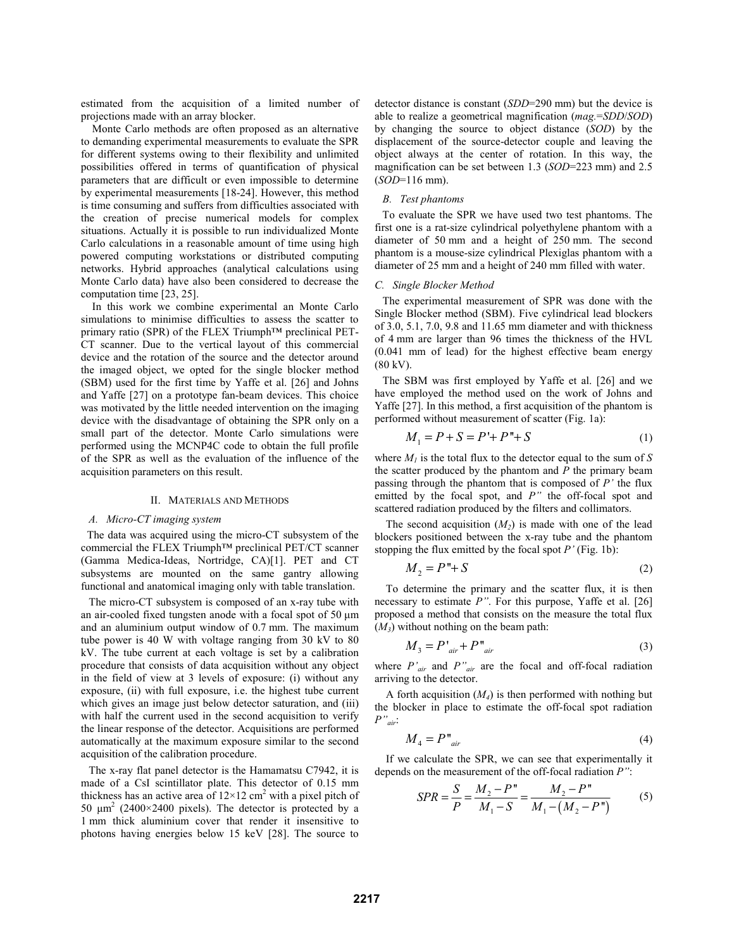estimated from the acquisition of a limited number of projections made with an array blocker.

Monte Carlo methods are often proposed as an alternative to demanding experimental measurements to evaluate the SPR for different systems owing to their flexibility and unlimited possibilities offered in terms of quantification of physical parameters that are difficult or even impossible to determine by experimental measurements [18-24]. However, this method is time consuming and suffers from difficulties associated with the creation of precise numerical models for complex situations. Actually it is possible to run individualized Monte Carlo calculations in a reasonable amount of time using high powered computing workstations or distributed computing networks. Hybrid approaches (analytical calculations using Monte Carlo data) have also been considered to decrease the computation time [23, 25].

In this work we combine experimental an Monte Carlo simulations to minimise difficulties to assess the scatter to primary ratio (SPR) of the FLEX Triumph™ preclinical PET-CT scanner. Due to the vertical layout of this commercial device and the rotation of the source and the detector around the imaged object, we opted for the single blocker method (SBM) used for the first time by Yaffe et al. [26] and Johns and Yaffe [27] on a prototype fan-beam devices. This choice was motivated by the little needed intervention on the imaging device with the disadvantage of obtaining the SPR only on a small part of the detector. Monte Carlo simulations were performed using the MCNP4C code to obtain the full profile of the SPR as well as the evaluation of the influence of the acquisition parameters on this result.

#### II. MATERIALS AND METHODS

### *A. Micro-CT imaging system*

 The data was acquired using the micro-CT subsystem of the commercial the FLEX Triumph™ preclinical PET/CT scanner (Gamma Medica-Ideas, Nortridge, CA)[1]. PET and CT subsystems are mounted on the same gantry allowing functional and anatomical imaging only with table translation.

The micro-CT subsystem is composed of an x-ray tube with an air-cooled fixed tungsten anode with a focal spot of 50 μm and an aluminium output window of 0.7 mm. The maximum tube power is 40 W with voltage ranging from 30 kV to 80 kV. The tube current at each voltage is set by a calibration procedure that consists of data acquisition without any object in the field of view at 3 levels of exposure: (i) without any exposure, (ii) with full exposure, i.e. the highest tube current which gives an image just below detector saturation, and (iii) with half the current used in the second acquisition to verify the linear response of the detector. Acquisitions are performed automatically at the maximum exposure similar to the second acquisition of the calibration procedure.

The x-ray flat panel detector is the Hamamatsu C7942, it is made of a CsI scintillator plate. This detector of 0.15 mm thickness has an active area of  $12 \times 12$  cm<sup>2</sup> with a pixel pitch of 50  $\mu$ m<sup>2</sup> (2400×2400 pixels). The detector is protected by a 1 mm thick aluminium cover that render it insensitive to photons having energies below 15 keV [28]. The source to

detector distance is constant (*SDD*=290 mm) but the device is able to realize a geometrical magnification (*mag.*=*SDD*/*SOD*) by changing the source to object distance (*SOD*) by the displacement of the source-detector couple and leaving the object always at the center of rotation. In this way, the magnification can be set between 1.3 (*SOD*=223 mm) and 2.5 (*SOD*=116 mm).

# *B. Test phantoms*

To evaluate the SPR we have used two test phantoms. The first one is a rat-size cylindrical polyethylene phantom with a diameter of 50 mm and a height of 250 mm. The second phantom is a mouse-size cylindrical Plexiglas phantom with a diameter of 25 mm and a height of 240 mm filled with water.

# *C. Single Blocker Method*

The experimental measurement of SPR was done with the Single Blocker method (SBM). Five cylindrical lead blockers of 3.0, 5.1, 7.0, 9.8 and 11.65 mm diameter and with thickness of 4 mm are larger than 96 times the thickness of the HVL (0.041 mm of lead) for the highest effective beam energy (80 kV).

The SBM was first employed by Yaffe et al. [26] and we have employed the method used on the work of Johns and Yaffe [27]. In this method, a first acquisition of the phantom is performed without measurement of scatter (Fig. 1a):

$$
M_1 = P + S = P' + P'' + S \tag{1}
$$

where  $M_l$  is the total flux to the detector equal to the sum of S the scatter produced by the phantom and  $\overline{P}$  the primary beam passing through the phantom that is composed of *P'* the flux emitted by the focal spot, and *P"* the off-focal spot and scattered radiation produced by the filters and collimators.

The second acquisition  $(M<sub>2</sub>)$  is made with one of the lead blockers positioned between the x-ray tube and the phantom stopping the flux emitted by the focal spot *P'* (Fig. 1b):

$$
M_2 = P'' + S \tag{2}
$$

To determine the primary and the scatter flux, it is then necessary to estimate *P"*. For this purpose, Yaffe et al. [26] proposed a method that consists on the measure the total flux  $(M_3)$  without nothing on the beam path:

$$
M_3 = P'_{air} + P''_{air} \tag{3}
$$

where *P'air* and *P"air* are the focal and off-focal radiation arriving to the detector.

A forth acquisition  $(M_4)$  is then performed with nothing but the blocker in place to estimate the off-focal spot radiation *P"air*:

$$
M_4 = P''_{air} \tag{4}
$$

If we calculate the SPR, we can see that experimentally it depends on the measurement of the off-focal radiation *P"*:

$$
SPR = \frac{S}{P} = \frac{M_2 - P''}{M_1 - S} = \frac{M_2 - P''}{M_1 - (M_2 - P'')}
$$
 (5)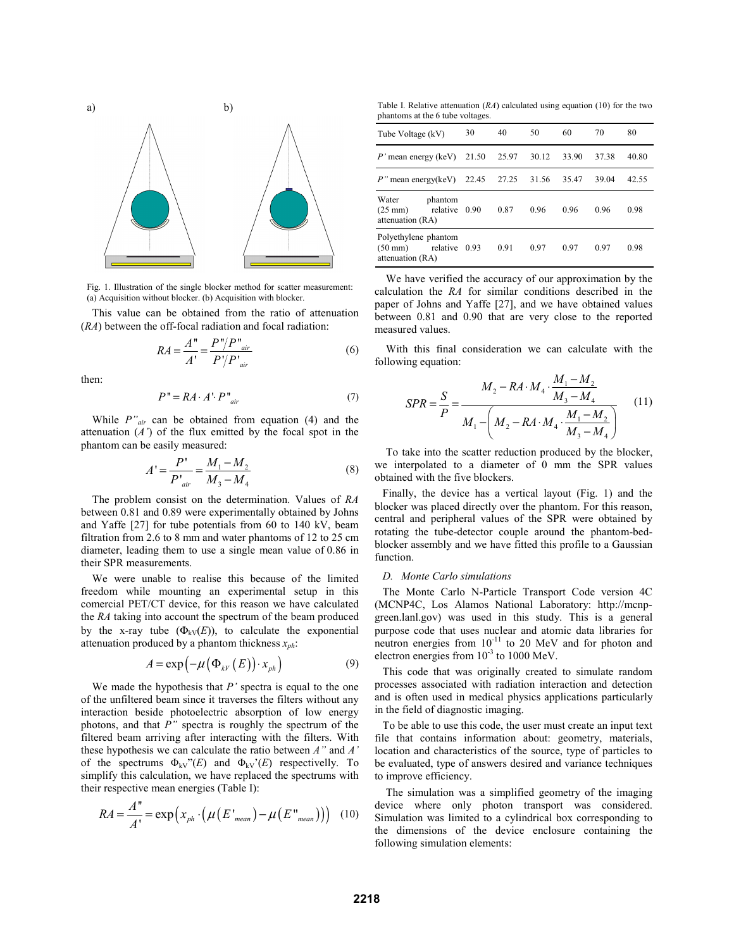

Fig. 1. Illustration of the single blocker method for scatter measurement: (a) Acquisition without blocker. (b) Acquisition with blocker.

This value can be obtained from the ratio of attenuation (*RA*) between the off-focal radiation and focal radiation:

$$
RA = \frac{A''}{A'} = \frac{P''/P''_{air}}{P'/P'_{air}}\tag{6}
$$

then:

$$
P" = RA \cdot A' \cdot P"_{air} \tag{7}
$$

While *P"air* can be obtained from equation (4) and the attenuation (*A'*) of the flux emitted by the focal spot in the phantom can be easily measured:

$$
A' = \frac{P'}{P'}_{air} = \frac{M_1 - M_2}{M_3 - M_4}
$$
 (8)

The problem consist on the determination. Values of *RA* between 0.81 and 0.89 were experimentally obtained by Johns and Yaffe [27] for tube potentials from 60 to 140 kV, beam filtration from 2.6 to 8 mm and water phantoms of 12 to 25 cm diameter, leading them to use a single mean value of 0.86 in their SPR measurements.

We were unable to realise this because of the limited freedom while mounting an experimental setup in this comercial PET/CT device, for this reason we have calculated the *RA* taking into account the spectrum of the beam produced by the x-ray tube  $(\Phi_{kV}(E))$ , to calculate the exponential attenuation produced by a phantom thickness *xph*:

$$
A = \exp\left(-\mu\left(\Phi_{kV}\left(E\right)\right) \cdot x_{ph}\right) \tag{9}
$$

We made the hypothesis that *P'* spectra is equal to the one of the unfiltered beam since it traverses the filters without any interaction beside photoelectric absorption of low energy photons, and that *P"* spectra is roughly the spectrum of the filtered beam arriving after interacting with the filters. With these hypothesis we can calculate the ratio between *A"* and *A'* of the spectrums  $\Phi_{kV}$ <sup>"</sup>(*E*) and  $\Phi_{kV}$ <sup>"</sup>(*E*) respectivelly. To simplify this calculation, we have replaced the spectrums with their respective mean energies (Table I):

$$
RA = \frac{A''}{A'} = \exp\left(x_{ph} \cdot \left(\mu\left(E'\right)_{mean}\right) - \mu\left(E''\right)_{mean}\right)\right) \tag{10}
$$

Table I. Relative attenuation (*RA*) calculated using equation (10) for the two phantoms at the 6 tube voltages.

| Tube Voltage (kV)                                                           | 30 | 40   | 50    | 60    | 70    | 80    |
|-----------------------------------------------------------------------------|----|------|-------|-------|-------|-------|
| <i>P</i> ' mean energy (keV) $21.50$ 25.97                                  |    |      | 30.12 | 33.90 | 37.38 | 40.80 |
| $P''$ mean energy(keV) 22.45 27.25                                          |    |      | 31.56 | 35.47 | 39.04 | 42.55 |
| Water<br>phantom<br>$(25 \text{ mm})$<br>relative 0.90<br>attenuation (RA)  |    | 0.87 | 0.96  | 0.96  | 0.96  | 0.98  |
| Polyethylene phantom<br>$(50 \text{ mm})$ relative 0.93<br>attenuation (RA) |    | 0.91 | 0.97  | 0.97  | 0.97  | 0.98  |

We have verified the accuracy of our approximation by the calculation the *RA* for similar conditions described in the paper of Johns and Yaffe [27], and we have obtained values between 0.81 and 0.90 that are very close to the reported measured values.

With this final consideration we can calculate with the following equation:

$$
SPR = \frac{S}{P} = \frac{M_2 - RA \cdot M_4 \cdot \frac{M_1 - M_2}{M_3 - M_4}}{M_1 - \left(M_2 - RA \cdot M_4 \cdot \frac{M_1 - M_2}{M_3 - M_4}\right)}
$$
(11)

To take into the scatter reduction produced by the blocker, we interpolated to a diameter of 0 mm the SPR values obtained with the five blockers.

Finally, the device has a vertical layout (Fig. 1) and the blocker was placed directly over the phantom. For this reason, central and peripheral values of the SPR were obtained by rotating the tube-detector couple around the phantom-bedblocker assembly and we have fitted this profile to a Gaussian function.

#### *D. Monte Carlo simulations*

The Monte Carlo N-Particle Transport Code version 4C (MCNP4C, Los Alamos National Laboratory: http://mcnpgreen.lanl.gov) was used in this study. This is a general purpose code that uses nuclear and atomic data libraries for neutron energies from  $10^{-11}$  to 20 MeV and for photon and electron energies from  $10^{-3}$  to 1000 MeV.

This code that was originally created to simulate random processes associated with radiation interaction and detection and is often used in medical physics applications particularly in the field of diagnostic imaging.

To be able to use this code, the user must create an input text file that contains information about: geometry, materials, location and characteristics of the source, type of particles to be evaluated, type of answers desired and variance techniques to improve efficiency.

The simulation was a simplified geometry of the imaging device where only photon transport was considered. Simulation was limited to a cylindrical box corresponding to the dimensions of the device enclosure containing the following simulation elements: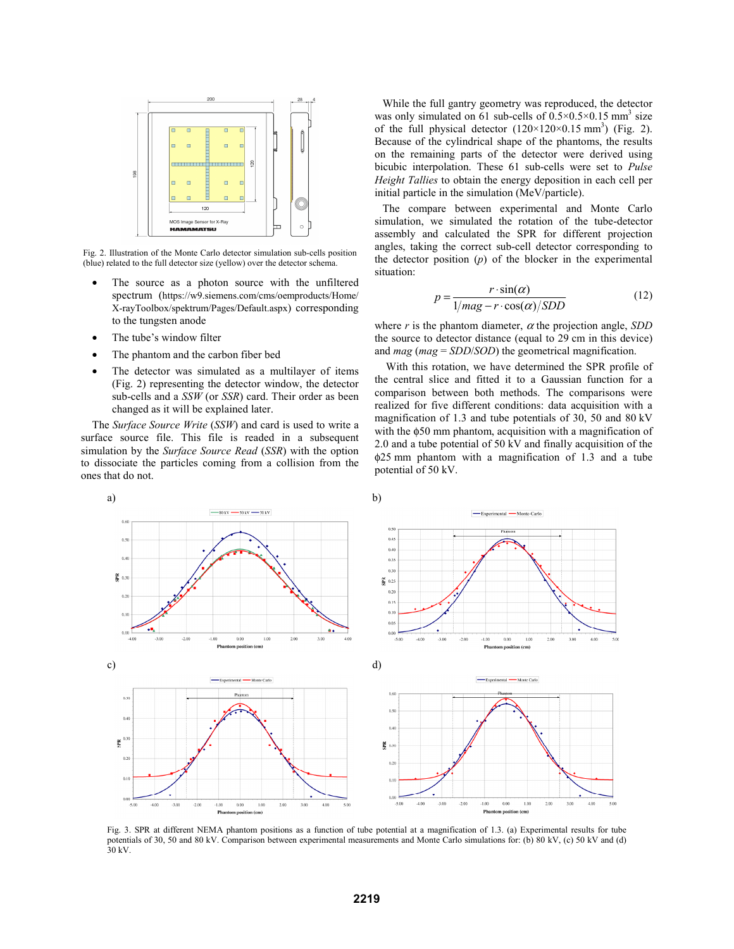

Fig. 2. Illustration of the Monte Carlo detector simulation sub-cells position (blue) related to the full detector size (yellow) over the detector schema.

- The source as a photon source with the unfiltered spectrum (https://w9.siemens.com/cms/oemproducts/Home/ X-rayToolbox/spektrum/Pages/Default.aspx) corresponding to the tungsten anode
- The tube's window filter
- The phantom and the carbon fiber bed
- The detector was simulated as a multilayer of items (Fig. 2) representing the detector window, the detector sub-cells and a *SSW* (or *SSR*) card. Their order as been changed as it will be explained later.

The *Surface Source Write* (*SSW*) and card is used to write a surface source file. This file is readed in a subsequent simulation by the *Surface Source Read* (*SSR*) with the option to dissociate the particles coming from a collision from the ones that do not.

While the full gantry geometry was reproduced, the detector was only simulated on 61 sub-cells of  $0.5 \times 0.5 \times 0.15$  mm<sup>3</sup> size of the full physical detector  $(120 \times 120 \times 0.15 \text{ mm}^3)$  (Fig. 2). Because of the cylindrical shape of the phantoms, the results on the remaining parts of the detector were derived using bicubic interpolation. These 61 sub-cells were set to *Pulse Height Tallies* to obtain the energy deposition in each cell per initial particle in the simulation (MeV/particle).

The compare between experimental and Monte Carlo simulation, we simulated the rotation of the tube-detector assembly and calculated the SPR for different projection angles, taking the correct sub-cell detector corresponding to the detector position (*p*) of the blocker in the experimental situation:

$$
p = \frac{r \cdot \sin(\alpha)}{1/mag - r \cdot \cos(\alpha)/SDD}
$$
 (12)

where  $r$  is the phantom diameter,  $\alpha$  the projection angle, *SDD* the source to detector distance (equal to 29 cm in this device) and *mag* (*mag* = *SDD*/*SOD*) the geometrical magnification.

With this rotation, we have determined the SPR profile of the central slice and fitted it to a Gaussian function for a comparison between both methods. The comparisons were realized for five different conditions: data acquisition with a magnification of 1.3 and tube potentials of 30, 50 and 80 kV with the φ50 mm phantom, acquisition with a magnification of 2.0 and a tube potential of 50 kV and finally acquisition of the φ25 mm phantom with a magnification of 1.3 and a tube potential of 50 kV.



Fig. 3. SPR at different NEMA phantom positions as a function of tube potential at a magnification of 1.3. (a) Experimental results for tube potentials of 30, 50 and 80 kV. Comparison between experimental measurements and Monte Carlo simulations for: (b) 80 kV, (c) 50 kV and (d) 30 kV.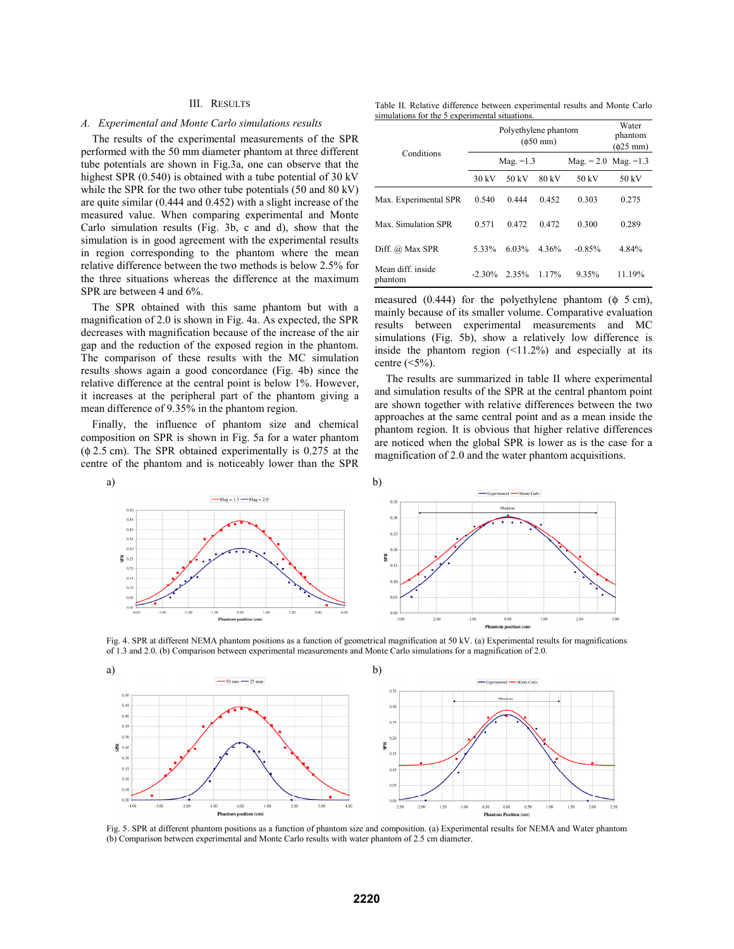### III. RESULTS

#### *A. Experimental and Monte Carlo simulations results*

The results of the experimental measurements of the SPR performed with the 50 mm diameter phantom at three different tube potentials are shown in Fig.3a, one can observe that the highest SPR (0.540) is obtained with a tube potential of 30 kV while the SPR for the two other tube potentials (50 and 80 kV) are quite similar (0.444 and 0.452) with a slight increase of the measured value. When comparing experimental and Monte Carlo simulation results (Fig. 3b, c and d), show that the simulation is in good agreement with the experimental results in region corresponding to the phantom where the mean relative difference between the two methods is below 2.5% for the three situations whereas the difference at the maximum SPR are between 4 and 6%.

The SPR obtained with this same phantom but with a magnification of 2.0 is shown in Fig. 4a. As expected, the SPR decreases with magnification because of the increase of the air gap and the reduction of the exposed region in the phantom. The comparison of these results with the MC simulation results shows again a good concordance (Fig. 4b) since the relative difference at the central point is below 1%. However, it increases at the peripheral part of the phantom giving a mean difference of 9.35% in the phantom region.

Finally, the influence of phantom size and chemical composition on SPR is shown in Fig. 5a for a water phantom (φ 2.5 cm). The SPR obtained experimentally is 0.275 at the centre of the phantom and is noticeably lower than the SPR

Table II. Relative difference between experimental results and Monte Carlo simulations for the 5 experimental situations.

|                              | Polyethylene phantom | Water<br>phantom<br>$(\phi$ 25 mm) |          |                                         |        |
|------------------------------|----------------------|------------------------------------|----------|-----------------------------------------|--------|
| Conditions                   |                      | Mag. $=1.3$                        |          | $\text{Mag.} = 2.0 \ \text{Mag.} = 1.3$ |        |
|                              | 30 kV                | 50 kV                              | 80 kV    | 50 kV                                   | 50 kV  |
| Max. Experimental SPR        | 0.540                | 0.444                              | 0.452    | 0.303                                   | 0.275  |
| Max. Simulation SPR          | 0.571                | 0.472                              | 0.472    | 0.300                                   | 0.289  |
| Diff. @ Max SPR              | 5.33%                | 6.03%                              | 4.36%    | $-0.85%$                                | 4.84%  |
| Mean diff. inside<br>phantom | $-2.30\%$            | 2.35%                              | $1.17\%$ | 9.35%                                   | 11.19% |

measured  $(0.444)$  for the polyethylene phantom  $(\phi$  5 cm), mainly because of its smaller volume. Comparative evaluation results between experimental measurements and MC simulations (Fig. 5b), show a relatively low difference is inside the phantom region  $(\leq 11.2\%)$  and especially at its centre  $(\leq 5\%)$ .

The results are summarized in table II where experimental and simulation results of the SPR at the central phantom point are shown together with relative differences between the two approaches at the same central point and as a mean inside the phantom region. It is obvious that higher relative differences are noticed when the global SPR is lower as is the case for a magnification of 2.0 and the water phantom acquisitions.



Fig. 4. SPR at different NEMA phantom positions as a function of geometrical magnification at 50 kV. (a) Experimental results for magnifications of 1.3 and 2.0. (b) Comparison between experimental measurements and Monte Carlo simulations for a magnification of 2.0.



Fig. 5. SPR at different phantom positions as a function of phantom size and composition. (a) Experimental results for NEMA and Water phantom (b) Comparison between experimental and Monte Carlo results with water phantom of 2.5 cm diameter.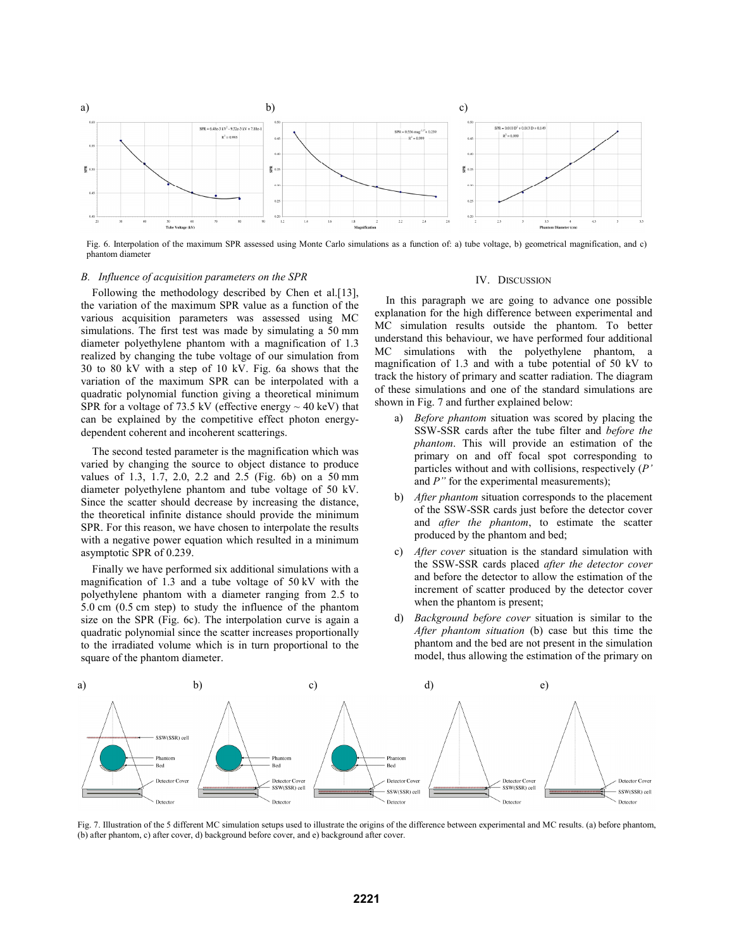

Fig. 6. Interpolation of the maximum SPR assessed using Monte Carlo simulations as a function of: a) tube voltage, b) geometrical magnification, and c) phantom diameter

#### *B. Influence of acquisition parameters on the SPR*

Following the methodology described by Chen et al.[13], the variation of the maximum SPR value as a function of the various acquisition parameters was assessed using MC simulations. The first test was made by simulating a 50 mm diameter polyethylene phantom with a magnification of 1.3 realized by changing the tube voltage of our simulation from 30 to 80 kV with a step of 10 kV. Fig. 6a shows that the variation of the maximum SPR can be interpolated with a quadratic polynomial function giving a theoretical minimum SPR for a voltage of 73.5 kV (effective energy  $\sim$  40 keV) that can be explained by the competitive effect photon energydependent coherent and incoherent scatterings.

The second tested parameter is the magnification which was varied by changing the source to object distance to produce values of 1.3, 1.7, 2.0, 2.2 and 2.5 (Fig. 6b) on a 50 mm diameter polyethylene phantom and tube voltage of 50 kV. Since the scatter should decrease by increasing the distance, the theoretical infinite distance should provide the minimum SPR. For this reason, we have chosen to interpolate the results with a negative power equation which resulted in a minimum asymptotic SPR of 0.239.

Finally we have performed six additional simulations with a magnification of 1.3 and a tube voltage of 50 kV with the polyethylene phantom with a diameter ranging from 2.5 to 5.0 cm (0.5 cm step) to study the influence of the phantom size on the SPR (Fig. 6c). The interpolation curve is again a quadratic polynomial since the scatter increases proportionally to the irradiated volume which is in turn proportional to the square of the phantom diameter.

#### IV. DISCUSSION

In this paragraph we are going to advance one possible explanation for the high difference between experimental and MC simulation results outside the phantom. To better understand this behaviour, we have performed four additional MC simulations with the polyethylene phantom, a magnification of 1.3 and with a tube potential of 50 kV to track the history of primary and scatter radiation. The diagram of these simulations and one of the standard simulations are shown in Fig. 7 and further explained below:

- a) *Before phantom* situation was scored by placing the SSW-SSR cards after the tube filter and *before the phantom*. This will provide an estimation of the primary on and off focal spot corresponding to particles without and with collisions, respectively (*P'* and *P*" for the experimental measurements);
- b) *After phantom* situation corresponds to the placement of the SSW-SSR cards just before the detector cover and *after the phantom*, to estimate the scatter produced by the phantom and bed;
- c) *After cover* situation is the standard simulation with the SSW-SSR cards placed *after the detector cover* and before the detector to allow the estimation of the increment of scatter produced by the detector cover when the phantom is present;
- d) *Background before cover* situation is similar to the *After phantom situation* (b) case but this time the phantom and the bed are not present in the simulation model, thus allowing the estimation of the primary on



Fig. 7. Illustration of the 5 different MC simulation setups used to illustrate the origins of the difference between experimental and MC results. (a) before phantom, (b) after phantom, c) after cover, d) background before cover, and e) background after cover.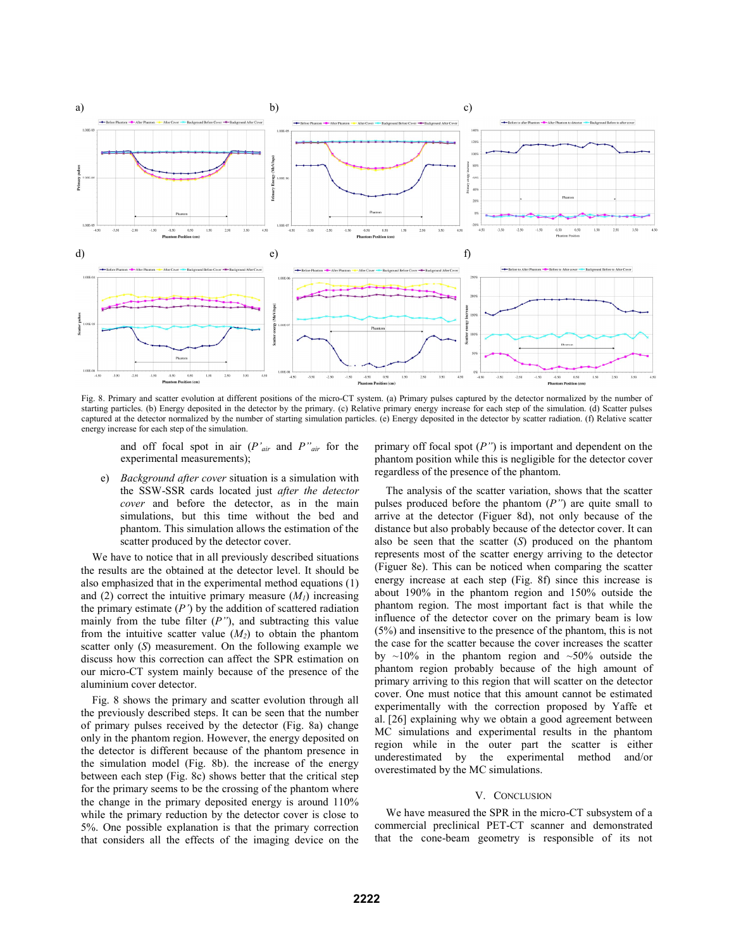

Fig. 8. Primary and scatter evolution at different positions of the micro-CT system. (a) Primary pulses captured by the detector normalized by the number of starting particles. (b) Energy deposited in the detector by the primary. (c) Relative primary energy increase for each step of the simulation. (d) Scatter pulses captured at the detector normalized by the number of starting simulation particles. (e) Energy deposited in the detector by scatter radiation. (f) Relative scatter energy increase for each step of the simulation.

and off focal spot in air (*P'air* and *P"air* for the experimental measurements);

e) *Background after cover* situation is a simulation with the SSW-SSR cards located just *after the detector cover* and before the detector, as in the main simulations, but this time without the bed and phantom. This simulation allows the estimation of the scatter produced by the detector cover.

We have to notice that in all previously described situations the results are the obtained at the detector level. It should be also emphasized that in the experimental method equations (1) and (2) correct the intuitive primary measure  $(M<sub>1</sub>)$  increasing the primary estimate (*P'*) by the addition of scattered radiation mainly from the tube filter (*P"*), and subtracting this value from the intuitive scatter value  $(M_2)$  to obtain the phantom scatter only (*S*) measurement. On the following example we discuss how this correction can affect the SPR estimation on our micro-CT system mainly because of the presence of the aluminium cover detector.

Fig. 8 shows the primary and scatter evolution through all the previously described steps. It can be seen that the number of primary pulses received by the detector (Fig. 8a) change only in the phantom region. However, the energy deposited on the detector is different because of the phantom presence in the simulation model (Fig. 8b). the increase of the energy between each step (Fig. 8c) shows better that the critical step for the primary seems to be the crossing of the phantom where the change in the primary deposited energy is around 110% while the primary reduction by the detector cover is close to 5%. One possible explanation is that the primary correction that considers all the effects of the imaging device on the primary off focal spot (*P"*) is important and dependent on the phantom position while this is negligible for the detector cover regardless of the presence of the phantom.

The analysis of the scatter variation, shows that the scatter pulses produced before the phantom (*P"*) are quite small to arrive at the detector (Figuer 8d), not only because of the distance but also probably because of the detector cover. It can also be seen that the scatter (*S*) produced on the phantom represents most of the scatter energy arriving to the detector (Figuer 8e). This can be noticed when comparing the scatter energy increase at each step (Fig. 8f) since this increase is about 190% in the phantom region and 150% outside the phantom region. The most important fact is that while the influence of the detector cover on the primary beam is low (5%) and insensitive to the presence of the phantom, this is not the case for the scatter because the cover increases the scatter by  $\sim$ 10% in the phantom region and  $\sim$ 50% outside the phantom region probably because of the high amount of primary arriving to this region that will scatter on the detector cover. One must notice that this amount cannot be estimated experimentally with the correction proposed by Yaffe et al. [26] explaining why we obtain a good agreement between MC simulations and experimental results in the phantom region while in the outer part the scatter is either underestimated by the experimental method and/or overestimated by the MC simulations.

#### V. CONCLUSION

We have measured the SPR in the micro-CT subsystem of a commercial preclinical PET-CT scanner and demonstrated that the cone-beam geometry is responsible of its not